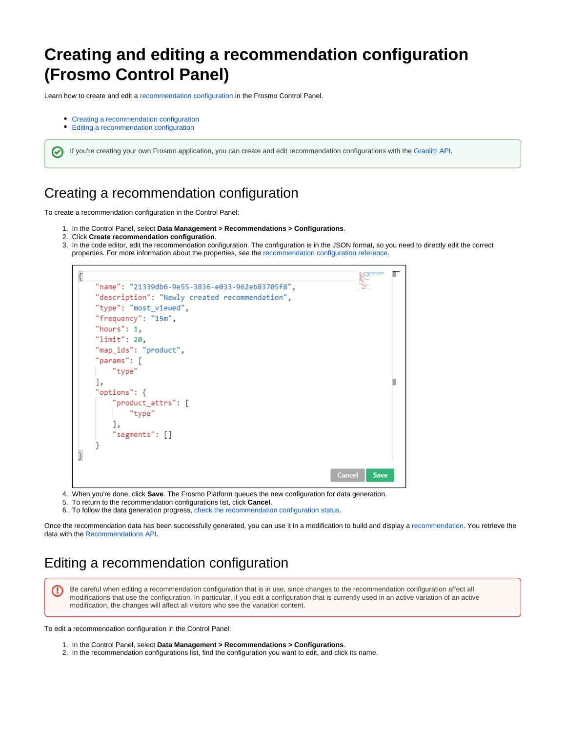## **Creating and editing a recommendation configuration (Frosmo Control Panel)**

Learn how to create and edit a [recommendation configuration](https://docs.frosmo.com/display/platform/Feature%3A+Recommendation+configuration) in the Frosmo Control Panel.

- [Creating a recommendation configuration](#page-0-0)
- [Editing a recommendation configuration](#page-0-1)

の

If you're creating your own Frosmo application, you can create and edit recommendation configurations with the [Graniitti API.](https://docs.frosmo.com/pages/viewpage.action?pageId=48238400)

## <span id="page-0-0"></span>Creating a recommendation configuration

To create a recommendation configuration in the Control Panel:

- 1. In the Control Panel, select **Data Management > Recommendations > Configurations**.
- 2. Click **Create recommendation configuration**.
- 3. In the code editor, edit the recommendation configuration. The configuration is in the JSON format, so you need to directly edit the correct properties. For more information about the properties, see the [recommendation configuration reference](https://docs.frosmo.com/display/dev/Recommendation+configuration+reference).



- 4. When you're done, click **Save**. The Frosmo Platform queues the new configuration for data generation.
- 5. To return to the recommendation configurations list, click **Cancel**.
- 6. To follow the data generation progress, [check the recommendation configuration status](https://docs.frosmo.com/pages/viewpage.action?pageId=48238393).

Once the recommendation data has been successfully generated, you can use it in a modification to build and display a [recommendation.](https://docs.frosmo.com/display/platform/Feature%3A+Recommendation) You retrieve the data with the [Recommendations API](https://docs.frosmo.com/display/dev/Recommendations+API).

## <span id="page-0-1"></span>Editing a recommendation configuration

Be careful when editing a recommendation configuration that is in use, since changes to the recommendation configuration affect all ω modifications that use the configuration. In particular, if you edit a configuration that is currently used in an active variation of an active modification, the changes will affect all visitors who see the variation content.

To edit a recommendation configuration in the Control Panel:

- 1. In the Control Panel, select **Data Management > Recommendations > Configurations**.
- 2. In the recommendation configurations list, find the configuration you want to edit, and click its name.